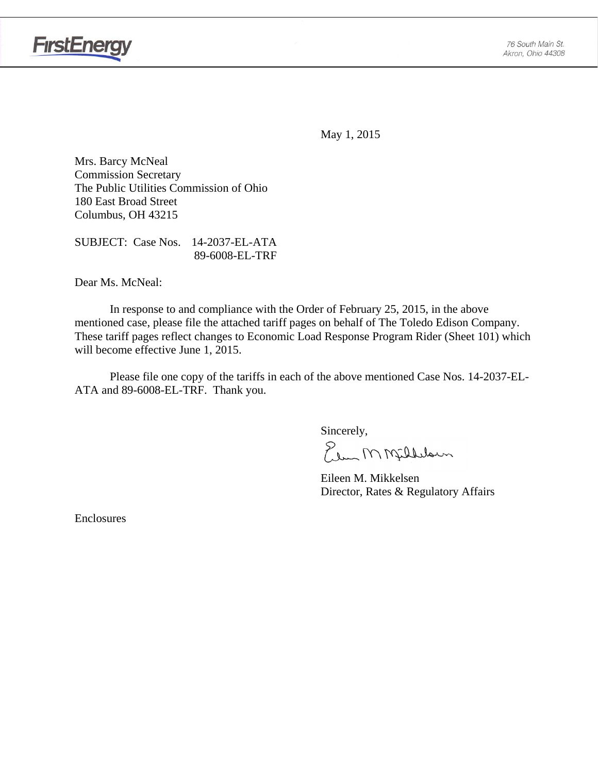

May 1, 2015

Mrs. Barcy McNeal Commission Secretary The Public Utilities Commission of Ohio 180 East Broad Street Columbus, OH 43215

SUBJECT: Case Nos. 14-2037-EL-ATA 89-6008-EL-TRF

Dear Ms. McNeal:

 In response to and compliance with the Order of February 25, 2015, in the above mentioned case, please file the attached tariff pages on behalf of The Toledo Edison Company. These tariff pages reflect changes to Economic Load Response Program Rider (Sheet 101) which will become effective June 1, 2015.

Please file one copy of the tariffs in each of the above mentioned Case Nos. 14-2037-EL-ATA and 89-6008-EL-TRF. Thank you.

Sincerely,

Elem M Milleloun

 Eileen M. Mikkelsen Director, Rates & Regulatory Affairs

Enclosures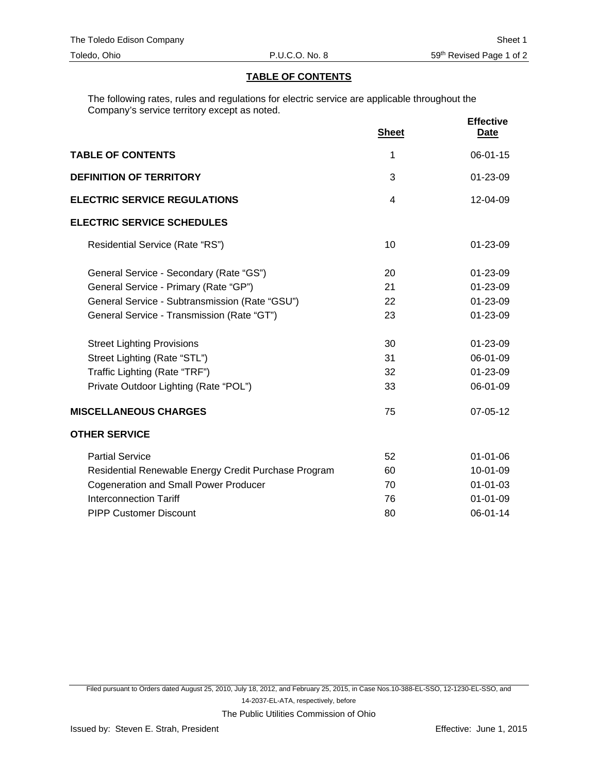## **TABLE OF CONTENTS**

The following rates, rules and regulations for electric service are applicable throughout the Company's service territory except as noted.

|                                                      | <b>Sheet</b> | <b>Effective</b><br>Date |
|------------------------------------------------------|--------------|--------------------------|
| <b>TABLE OF CONTENTS</b>                             | 1            | 06-01-15                 |
| <b>DEFINITION OF TERRITORY</b>                       | 3            | 01-23-09                 |
| <b>ELECTRIC SERVICE REGULATIONS</b>                  | 4            | 12-04-09                 |
| <b>ELECTRIC SERVICE SCHEDULES</b>                    |              |                          |
| Residential Service (Rate "RS")                      | 10           | $01 - 23 - 09$           |
| General Service - Secondary (Rate "GS")              | 20           | $01 - 23 - 09$           |
| General Service - Primary (Rate "GP")                | 21           | 01-23-09                 |
| General Service - Subtransmission (Rate "GSU")       | 22           | 01-23-09                 |
| General Service - Transmission (Rate "GT")           | 23           | 01-23-09                 |
| <b>Street Lighting Provisions</b>                    | 30           | 01-23-09                 |
| Street Lighting (Rate "STL")                         | 31           | 06-01-09                 |
| Traffic Lighting (Rate "TRF")                        | 32           | 01-23-09                 |
| Private Outdoor Lighting (Rate "POL")                | 33           | 06-01-09                 |
| <b>MISCELLANEOUS CHARGES</b>                         | 75           | 07-05-12                 |
| <b>OTHER SERVICE</b>                                 |              |                          |
| <b>Partial Service</b>                               | 52           | 01-01-06                 |
| Residential Renewable Energy Credit Purchase Program | 60           | 10-01-09                 |
| <b>Cogeneration and Small Power Producer</b>         | 70           | $01 - 01 - 03$           |
| <b>Interconnection Tariff</b>                        | 76           | $01 - 01 - 09$           |
| <b>PIPP Customer Discount</b>                        | 80           | 06-01-14                 |

Filed pursuant to Orders dated August 25, 2010, July 18, 2012, and February 25, 2015, in Case Nos.10-388-EL-SSO, 12-1230-EL-SSO, and 14-2037-EL-ATA, respectively, before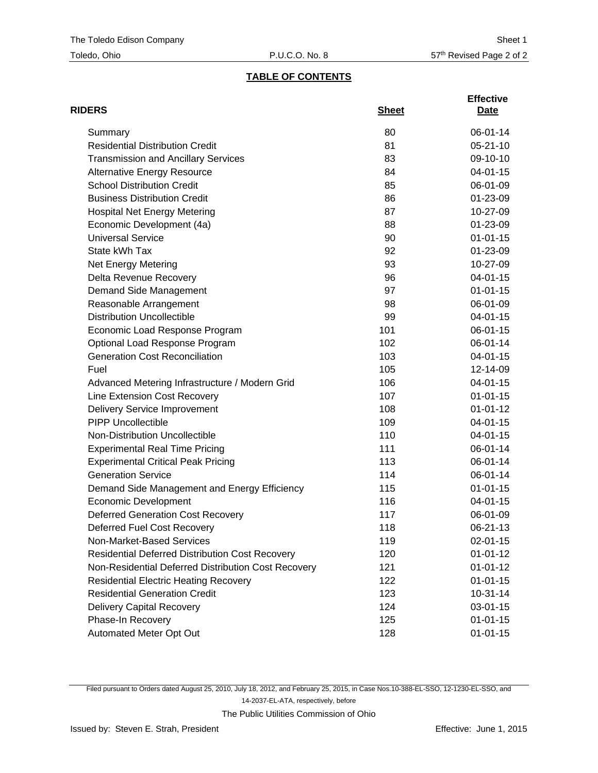## **TABLE OF CONTENTS**

| <b>RIDERS</b>                                          | <b>Sheet</b> | <b>Effective</b><br>Date |
|--------------------------------------------------------|--------------|--------------------------|
| Summary                                                | 80           | 06-01-14                 |
| <b>Residential Distribution Credit</b>                 | 81           | $05 - 21 - 10$           |
| <b>Transmission and Ancillary Services</b>             | 83           | 09-10-10                 |
| <b>Alternative Energy Resource</b>                     | 84           | $04 - 01 - 15$           |
| <b>School Distribution Credit</b>                      | 85           | 06-01-09                 |
| <b>Business Distribution Credit</b>                    | 86           | 01-23-09                 |
| <b>Hospital Net Energy Metering</b>                    | 87           | 10-27-09                 |
| Economic Development (4a)                              | 88           | 01-23-09                 |
| <b>Universal Service</b>                               | 90           | $01 - 01 - 15$           |
| State kWh Tax                                          | 92           | 01-23-09                 |
| Net Energy Metering                                    | 93           | 10-27-09                 |
| Delta Revenue Recovery                                 | 96           | 04-01-15                 |
| Demand Side Management                                 | 97           | $01 - 01 - 15$           |
| Reasonable Arrangement                                 | 98           | 06-01-09                 |
| <b>Distribution Uncollectible</b>                      | 99           | $04 - 01 - 15$           |
| Economic Load Response Program                         | 101          | 06-01-15                 |
| Optional Load Response Program                         | 102          | 06-01-14                 |
| <b>Generation Cost Reconciliation</b>                  | 103          | $04 - 01 - 15$           |
| Fuel                                                   | 105          | 12-14-09                 |
| Advanced Metering Infrastructure / Modern Grid         | 106          | 04-01-15                 |
| Line Extension Cost Recovery                           | 107          | $01 - 01 - 15$           |
| <b>Delivery Service Improvement</b>                    | 108          | $01 - 01 - 12$           |
| <b>PIPP Uncollectible</b>                              | 109          | 04-01-15                 |
| Non-Distribution Uncollectible                         | 110          | 04-01-15                 |
| <b>Experimental Real Time Pricing</b>                  | 111          | 06-01-14                 |
| <b>Experimental Critical Peak Pricing</b>              | 113          | 06-01-14                 |
| <b>Generation Service</b>                              | 114          | 06-01-14                 |
| Demand Side Management and Energy Efficiency           | 115          | $01 - 01 - 15$           |
| <b>Economic Development</b>                            | 116          | 04-01-15                 |
| <b>Deferred Generation Cost Recovery</b>               | 117          | 06-01-09                 |
| Deferred Fuel Cost Recovery                            | 118          | 06-21-13                 |
| Non-Market-Based Services                              | 119          | $02 - 01 - 15$           |
| <b>Residential Deferred Distribution Cost Recovery</b> | 120          | $01 - 01 - 12$           |
| Non-Residential Deferred Distribution Cost Recovery    | 121          | $01 - 01 - 12$           |
| <b>Residential Electric Heating Recovery</b>           | 122          | $01 - 01 - 15$           |
| <b>Residential Generation Credit</b>                   | 123          | $10-31-14$               |
| <b>Delivery Capital Recovery</b>                       | 124          | 03-01-15                 |
| Phase-In Recovery                                      | 125          | $01 - 01 - 15$           |
| Automated Meter Opt Out                                | 128          | $01 - 01 - 15$           |

Filed pursuant to Orders dated August 25, 2010, July 18, 2012, and February 25, 2015, in Case Nos.10-388-EL-SSO, 12-1230-EL-SSO, and 14-2037-EL-ATA, respectively, before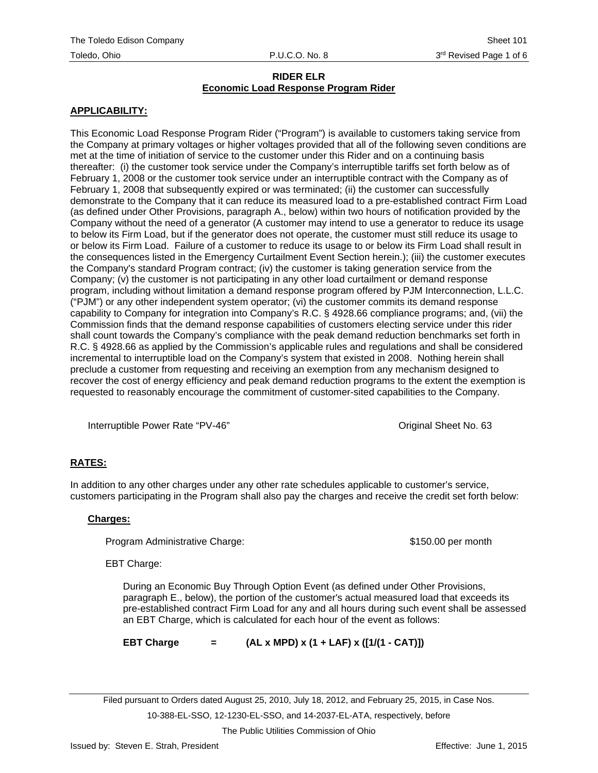## **APPLICABILITY:**

This Economic Load Response Program Rider ("Program") is available to customers taking service from the Company at primary voltages or higher voltages provided that all of the following seven conditions are met at the time of initiation of service to the customer under this Rider and on a continuing basis thereafter: (i) the customer took service under the Company's interruptible tariffs set forth below as of February 1, 2008 or the customer took service under an interruptible contract with the Company as of February 1, 2008 that subsequently expired or was terminated; (ii) the customer can successfully demonstrate to the Company that it can reduce its measured load to a pre-established contract Firm Load (as defined under Other Provisions, paragraph A., below) within two hours of notification provided by the Company without the need of a generator (A customer may intend to use a generator to reduce its usage to below its Firm Load, but if the generator does not operate, the customer must still reduce its usage to or below its Firm Load. Failure of a customer to reduce its usage to or below its Firm Load shall result in the consequences listed in the Emergency Curtailment Event Section herein.); (iii) the customer executes the Company's standard Program contract; (iv) the customer is taking generation service from the Company; (v) the customer is not participating in any other load curtailment or demand response program, including without limitation a demand response program offered by PJM Interconnection, L.L.C. ("PJM") or any other independent system operator; (vi) the customer commits its demand response capability to Company for integration into Company's R.C. § 4928.66 compliance programs; and, (vii) the Commission finds that the demand response capabilities of customers electing service under this rider shall count towards the Company's compliance with the peak demand reduction benchmarks set forth in R.C. § 4928.66 as applied by the Commission's applicable rules and regulations and shall be considered incremental to interruptible load on the Company's system that existed in 2008. Nothing herein shall preclude a customer from requesting and receiving an exemption from any mechanism designed to recover the cost of energy efficiency and peak demand reduction programs to the extent the exemption is requested to reasonably encourage the commitment of customer-sited capabilities to the Company.

Interruptible Power Rate "PV-46" Noted that the Communist Communist Communist Communist Communist Communist Communist Communist Communist Communist Communist Communist Communist Communist Communist Communist Communist Comm

## **RATES:**

In addition to any other charges under any other rate schedules applicable to customer's service, customers participating in the Program shall also pay the charges and receive the credit set forth below:

#### **Charges:**

Program Administrative Charge:  $$150.00$  per month

EBT Charge:

During an Economic Buy Through Option Event (as defined under Other Provisions, paragraph E., below), the portion of the customer's actual measured load that exceeds its pre-established contract Firm Load for any and all hours during such event shall be assessed an EBT Charge, which is calculated for each hour of the event as follows:

**EBT Charge = (AL x MPD) x (1 + LAF) x ([1/(1 - CAT)])** 

Filed pursuant to Orders dated August 25, 2010, July 18, 2012, and February 25, 2015, in Case Nos. 10-388-EL-SSO, 12-1230-EL-SSO, and 14-2037-EL-ATA, respectively, before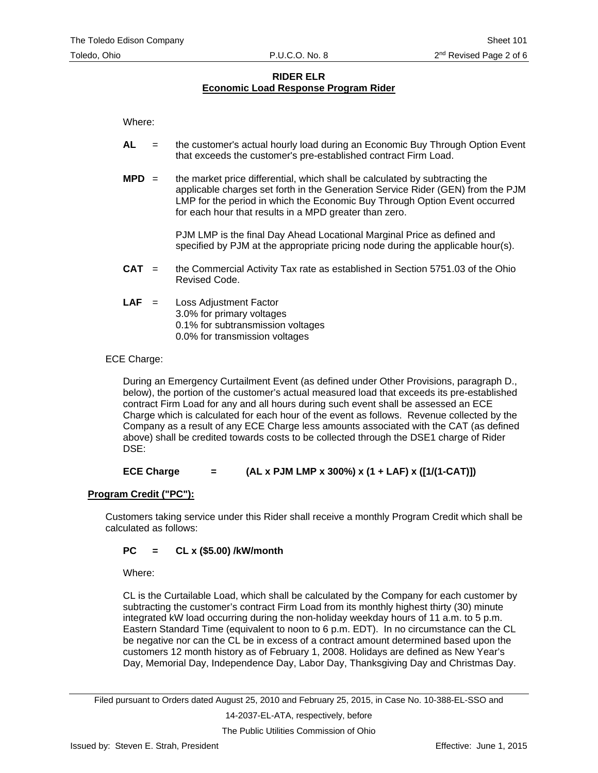Where:

- **AL** = the customer's actual hourly load during an Economic Buy Through Option Event that exceeds the customer's pre-established contract Firm Load.
- **MPD** = the market price differential, which shall be calculated by subtracting the applicable charges set forth in the Generation Service Rider (GEN) from the PJM LMP for the period in which the Economic Buy Through Option Event occurred for each hour that results in a MPD greater than zero.

PJM LMP is the final Day Ahead Locational Marginal Price as defined and specified by PJM at the appropriate pricing node during the applicable hour(s).

- **CAT** = the Commercial Activity Tax rate as established in Section 5751.03 of the Ohio Revised Code.
- **LAF** = Loss Adjustment Factor 3.0% for primary voltages 0.1% for subtransmission voltages 0.0% for transmission voltages

## ECE Charge:

During an Emergency Curtailment Event (as defined under Other Provisions, paragraph D., below), the portion of the customer's actual measured load that exceeds its pre-established contract Firm Load for any and all hours during such event shall be assessed an ECE Charge which is calculated for each hour of the event as follows. Revenue collected by the Company as a result of any ECE Charge less amounts associated with the CAT (as defined above) shall be credited towards costs to be collected through the DSE1 charge of Rider DSE:

**ECE Charge = (AL x PJM LMP x 300%) x (1 + LAF) x ([1/(1-CAT)])**

#### **Program Credit ("PC"):**

Customers taking service under this Rider shall receive a monthly Program Credit which shall be calculated as follows:

## **PC = CL x (\$5.00) /kW/month**

Where:

CL is the Curtailable Load, which shall be calculated by the Company for each customer by subtracting the customer's contract Firm Load from its monthly highest thirty (30) minute integrated kW load occurring during the non-holiday weekday hours of 11 a.m. to 5 p.m. Eastern Standard Time (equivalent to noon to 6 p.m. EDT). In no circumstance can the CL be negative nor can the CL be in excess of a contract amount determined based upon the customers 12 month history as of February 1, 2008. Holidays are defined as New Year's Day, Memorial Day, Independence Day, Labor Day, Thanksgiving Day and Christmas Day.

Filed pursuant to Orders dated August 25, 2010 and February 25, 2015, in Case No. 10-388-EL-SSO and

14-2037-EL-ATA, respectively, before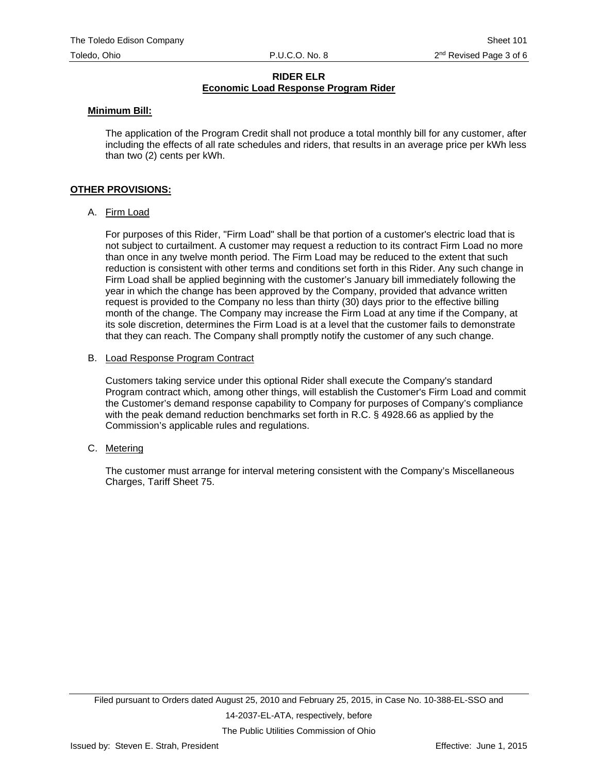#### **Minimum Bill:**

The application of the Program Credit shall not produce a total monthly bill for any customer, after including the effects of all rate schedules and riders, that results in an average price per kWh less than two (2) cents per kWh.

#### **OTHER PROVISIONS:**

#### A. Firm Load

For purposes of this Rider, "Firm Load" shall be that portion of a customer's electric load that is not subject to curtailment. A customer may request a reduction to its contract Firm Load no more than once in any twelve month period. The Firm Load may be reduced to the extent that such reduction is consistent with other terms and conditions set forth in this Rider. Any such change in Firm Load shall be applied beginning with the customer's January bill immediately following the year in which the change has been approved by the Company, provided that advance written request is provided to the Company no less than thirty (30) days prior to the effective billing month of the change. The Company may increase the Firm Load at any time if the Company, at its sole discretion, determines the Firm Load is at a level that the customer fails to demonstrate that they can reach. The Company shall promptly notify the customer of any such change.

#### B. Load Response Program Contract

Customers taking service under this optional Rider shall execute the Company's standard Program contract which, among other things, will establish the Customer's Firm Load and commit the Customer's demand response capability to Company for purposes of Company's compliance with the peak demand reduction benchmarks set forth in R.C. § 4928.66 as applied by the Commission's applicable rules and regulations.

C. Metering

The customer must arrange for interval metering consistent with the Company's Miscellaneous Charges, Tariff Sheet 75.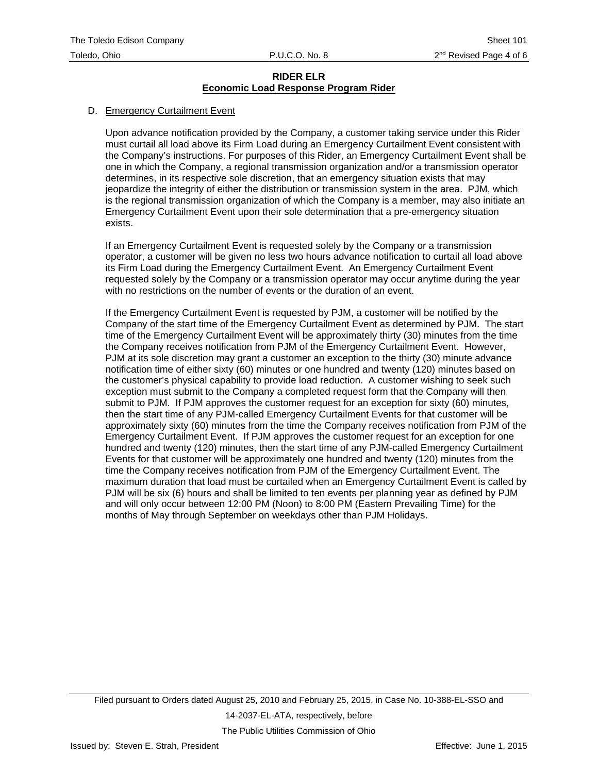## D. Emergency Curtailment Event

Upon advance notification provided by the Company, a customer taking service under this Rider must curtail all load above its Firm Load during an Emergency Curtailment Event consistent with the Company's instructions. For purposes of this Rider, an Emergency Curtailment Event shall be one in which the Company, a regional transmission organization and/or a transmission operator determines, in its respective sole discretion, that an emergency situation exists that may jeopardize the integrity of either the distribution or transmission system in the area. PJM, which is the regional transmission organization of which the Company is a member, may also initiate an Emergency Curtailment Event upon their sole determination that a pre-emergency situation exists.

If an Emergency Curtailment Event is requested solely by the Company or a transmission operator, a customer will be given no less two hours advance notification to curtail all load above its Firm Load during the Emergency Curtailment Event. An Emergency Curtailment Event requested solely by the Company or a transmission operator may occur anytime during the year with no restrictions on the number of events or the duration of an event.

If the Emergency Curtailment Event is requested by PJM, a customer will be notified by the Company of the start time of the Emergency Curtailment Event as determined by PJM. The start time of the Emergency Curtailment Event will be approximately thirty (30) minutes from the time the Company receives notification from PJM of the Emergency Curtailment Event. However, PJM at its sole discretion may grant a customer an exception to the thirty (30) minute advance notification time of either sixty (60) minutes or one hundred and twenty (120) minutes based on the customer's physical capability to provide load reduction. A customer wishing to seek such exception must submit to the Company a completed request form that the Company will then submit to PJM. If PJM approves the customer request for an exception for sixty (60) minutes, then the start time of any PJM-called Emergency Curtailment Events for that customer will be approximately sixty (60) minutes from the time the Company receives notification from PJM of the Emergency Curtailment Event. If PJM approves the customer request for an exception for one hundred and twenty (120) minutes, then the start time of any PJM-called Emergency Curtailment Events for that customer will be approximately one hundred and twenty (120) minutes from the time the Company receives notification from PJM of the Emergency Curtailment Event. The maximum duration that load must be curtailed when an Emergency Curtailment Event is called by PJM will be six (6) hours and shall be limited to ten events per planning year as defined by PJM and will only occur between 12:00 PM (Noon) to 8:00 PM (Eastern Prevailing Time) for the months of May through September on weekdays other than PJM Holidays.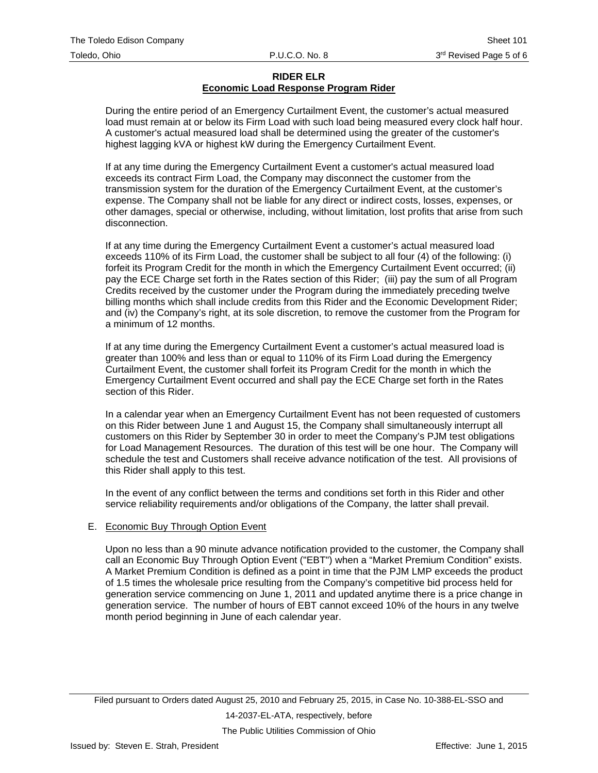During the entire period of an Emergency Curtailment Event, the customer's actual measured load must remain at or below its Firm Load with such load being measured every clock half hour. A customer's actual measured load shall be determined using the greater of the customer's highest lagging kVA or highest kW during the Emergency Curtailment Event.

If at any time during the Emergency Curtailment Event a customer's actual measured load exceeds its contract Firm Load, the Company may disconnect the customer from the transmission system for the duration of the Emergency Curtailment Event, at the customer's expense. The Company shall not be liable for any direct or indirect costs, losses, expenses, or other damages, special or otherwise, including, without limitation, lost profits that arise from such disconnection.

If at any time during the Emergency Curtailment Event a customer's actual measured load exceeds 110% of its Firm Load, the customer shall be subject to all four (4) of the following: (i) forfeit its Program Credit for the month in which the Emergency Curtailment Event occurred; (ii) pay the ECE Charge set forth in the Rates section of this Rider; (iii) pay the sum of all Program Credits received by the customer under the Program during the immediately preceding twelve billing months which shall include credits from this Rider and the Economic Development Rider; and (iv) the Company's right, at its sole discretion, to remove the customer from the Program for a minimum of 12 months.

If at any time during the Emergency Curtailment Event a customer's actual measured load is greater than 100% and less than or equal to 110% of its Firm Load during the Emergency Curtailment Event, the customer shall forfeit its Program Credit for the month in which the Emergency Curtailment Event occurred and shall pay the ECE Charge set forth in the Rates section of this Rider.

In a calendar year when an Emergency Curtailment Event has not been requested of customers on this Rider between June 1 and August 15, the Company shall simultaneously interrupt all customers on this Rider by September 30 in order to meet the Company's PJM test obligations for Load Management Resources. The duration of this test will be one hour. The Company will schedule the test and Customers shall receive advance notification of the test. All provisions of this Rider shall apply to this test.

In the event of any conflict between the terms and conditions set forth in this Rider and other service reliability requirements and/or obligations of the Company, the latter shall prevail.

#### E. Economic Buy Through Option Event

Upon no less than a 90 minute advance notification provided to the customer, the Company shall call an Economic Buy Through Option Event ("EBT") when a "Market Premium Condition" exists. A Market Premium Condition is defined as a point in time that the PJM LMP exceeds the product of 1.5 times the wholesale price resulting from the Company's competitive bid process held for generation service commencing on June 1, 2011 and updated anytime there is a price change in generation service. The number of hours of EBT cannot exceed 10% of the hours in any twelve month period beginning in June of each calendar year.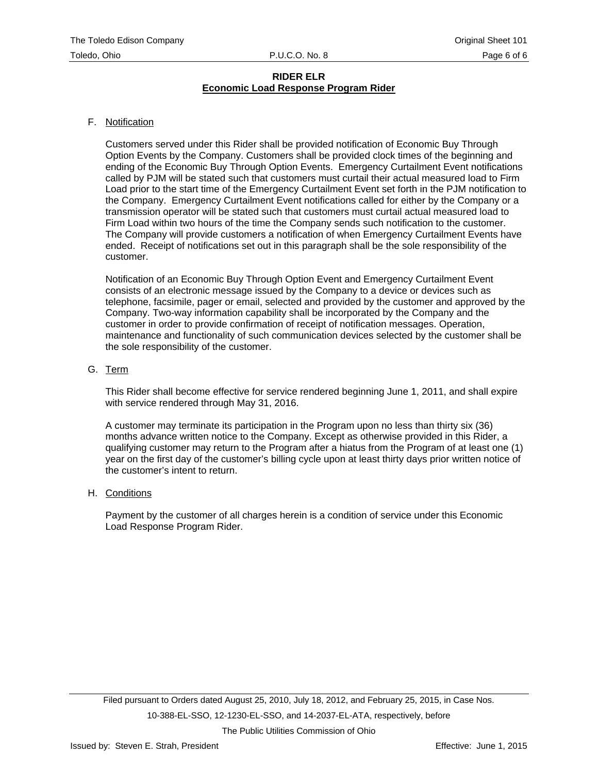#### F. Notification

Customers served under this Rider shall be provided notification of Economic Buy Through Option Events by the Company. Customers shall be provided clock times of the beginning and ending of the Economic Buy Through Option Events. Emergency Curtailment Event notifications called by PJM will be stated such that customers must curtail their actual measured load to Firm Load prior to the start time of the Emergency Curtailment Event set forth in the PJM notification to the Company. Emergency Curtailment Event notifications called for either by the Company or a transmission operator will be stated such that customers must curtail actual measured load to Firm Load within two hours of the time the Company sends such notification to the customer. The Company will provide customers a notification of when Emergency Curtailment Events have ended. Receipt of notifications set out in this paragraph shall be the sole responsibility of the customer.

Notification of an Economic Buy Through Option Event and Emergency Curtailment Event consists of an electronic message issued by the Company to a device or devices such as telephone, facsimile, pager or email, selected and provided by the customer and approved by the Company. Two-way information capability shall be incorporated by the Company and the customer in order to provide confirmation of receipt of notification messages. Operation, maintenance and functionality of such communication devices selected by the customer shall be the sole responsibility of the customer.

#### G. Term

This Rider shall become effective for service rendered beginning June 1, 2011, and shall expire with service rendered through May 31, 2016.

A customer may terminate its participation in the Program upon no less than thirty six (36) months advance written notice to the Company. Except as otherwise provided in this Rider, a qualifying customer may return to the Program after a hiatus from the Program of at least one (1) year on the first day of the customer's billing cycle upon at least thirty days prior written notice of the customer's intent to return.

#### H. Conditions

Payment by the customer of all charges herein is a condition of service under this Economic Load Response Program Rider.